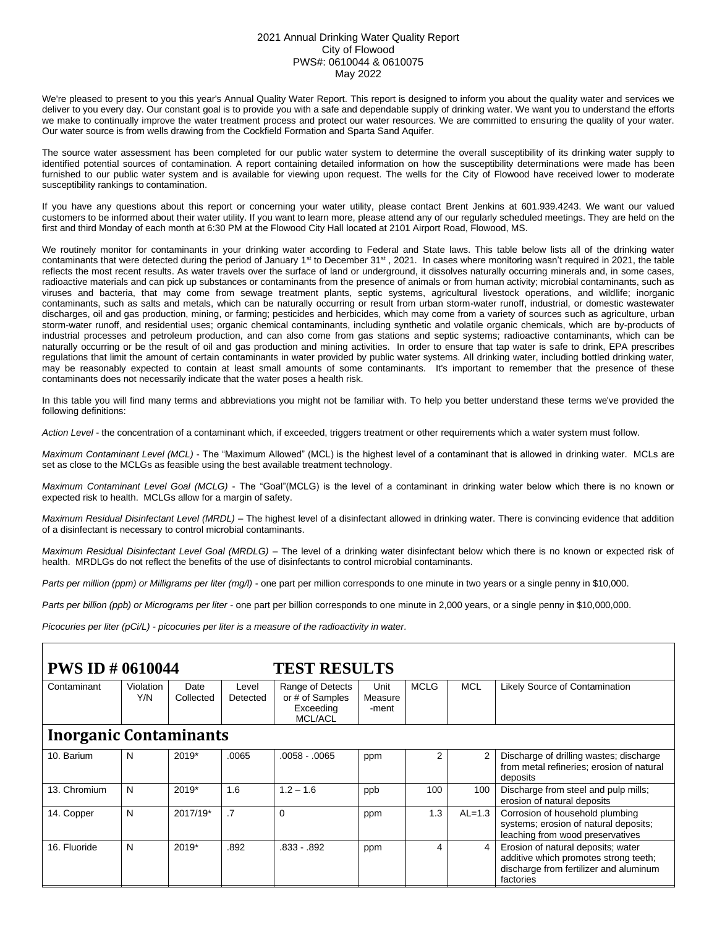## 2021 Annual Drinking Water Quality Report City of Flowood PWS#: 0610044 & 0610075 May 2022

We're pleased to present to you this year's Annual Quality Water Report. This report is designed to inform you about the quality water and services we deliver to you every day. Our constant goal is to provide you with a safe and dependable supply of drinking water. We want you to understand the efforts we make to continually improve the water treatment process and protect our water resources. We are committed to ensuring the quality of your water. Our water source is from wells drawing from the Cockfield Formation and Sparta Sand Aquifer.

The source water assessment has been completed for our public water system to determine the overall susceptibility of its drinking water supply to identified potential sources of contamination. A report containing detailed information on how the susceptibility determinations were made has been furnished to our public water system and is available for viewing upon request. The wells for the City of Flowood have received lower to moderate susceptibility rankings to contamination.

If you have any questions about this report or concerning your water utility, please contact Brent Jenkins at 601.939.4243. We want our valued customers to be informed about their water utility. If you want to learn more, please attend any of our regularly scheduled meetings. They are held on the first and third Monday of each month at 6:30 PM at the Flowood City Hall located at 2101 Airport Road, Flowood, MS.

We routinely monitor for contaminants in your drinking water according to Federal and State laws. This table below lists all of the drinking water contaminants that were detected during the period of January 1<sup>st</sup> to December 31<sup>st</sup>, 2021. In cases where monitoring wasn't required in 2021, the table reflects the most recent results. As water travels over the surface of land or underground, it dissolves naturally occurring minerals and, in some cases, radioactive materials and can pick up substances or contaminants from the presence of animals or from human activity; microbial contaminants, such as viruses and bacteria, that may come from sewage treatment plants, septic systems, agricultural livestock operations, and wildlife; inorganic contaminants, such as salts and metals, which can be naturally occurring or result from urban storm-water runoff, industrial, or domestic wastewater discharges, oil and gas production, mining, or farming; pesticides and herbicides, which may come from a variety of sources such as agriculture, urban storm-water runoff, and residential uses; organic chemical contaminants, including synthetic and volatile organic chemicals, which are by-products of industrial processes and petroleum production, and can also come from gas stations and septic systems; radioactive contaminants, which can be naturally occurring or be the result of oil and gas production and mining activities. In order to ensure that tap water is safe to drink, EPA prescribes regulations that limit the amount of certain contaminants in water provided by public water systems. All drinking water, including bottled drinking water, may be reasonably expected to contain at least small amounts of some contaminants. It's important to remember that the presence of these contaminants does not necessarily indicate that the water poses a health risk.

In this table you will find many terms and abbreviations you might not be familiar with. To help you better understand these terms we've provided the following definitions:

*Action Level* - the concentration of a contaminant which, if exceeded, triggers treatment or other requirements which a water system must follow.

*Maximum Contaminant Level (MCL)* - The "Maximum Allowed" (MCL) is the highest level of a contaminant that is allowed in drinking water. MCLs are set as close to the MCLGs as feasible using the best available treatment technology.

*Maximum Contaminant Level Goal (MCLG)* - The "Goal"(MCLG) is the level of a contaminant in drinking water below which there is no known or expected risk to health. MCLGs allow for a margin of safety.

*Maximum Residual Disinfectant Level (MRDL)* – The highest level of a disinfectant allowed in drinking water. There is convincing evidence that addition of a disinfectant is necessary to control microbial contaminants.

*Maximum Residual Disinfectant Level Goal (MRDLG)* – The level of a drinking water disinfectant below which there is no known or expected risk of health. MRDLGs do not reflect the benefits of the use of disinfectants to control microbial contaminants.

*Parts per million (ppm) or Milligrams per liter (mg/l)* - one part per million corresponds to one minute in two years or a single penny in \$10,000.

*Parts per billion (ppb) or Micrograms per liter* - one part per billion corresponds to one minute in 2,000 years, or a single penny in \$10,000,000.

*Picocuries per liter (pCi/L) - picocuries per liter is a measure of the radioactivity in water.*

| <b>PWS ID # 0610044</b>       |                  |                   |                   | <b>TEST RESULTS</b>                                                |                          |             |          |                                                                                                                                    |  |  |
|-------------------------------|------------------|-------------------|-------------------|--------------------------------------------------------------------|--------------------------|-------------|----------|------------------------------------------------------------------------------------------------------------------------------------|--|--|
| Contaminant                   | Violation<br>Y/N | Date<br>Collected | Level<br>Detected | Range of Detects<br>or # of Samples<br>Exceeding<br><b>MCL/ACL</b> | Unit<br>Measure<br>-ment | <b>MCLG</b> | MCL      | Likely Source of Contamination                                                                                                     |  |  |
| <b>Inorganic Contaminants</b> |                  |                   |                   |                                                                    |                          |             |          |                                                                                                                                    |  |  |
| 10. Barium                    | N                | $2019*$           | .0065             | $.0058 - .0065$                                                    | ppm                      | 2           | 2        | Discharge of drilling wastes; discharge<br>from metal refineries; erosion of natural<br>deposits                                   |  |  |
| 13. Chromium                  | N                | $2019*$           | 1.6               | $1.2 - 1.6$                                                        | ppb                      | 100         | 100      | Discharge from steel and pulp mills;<br>erosion of natural deposits                                                                |  |  |
| 14. Copper                    | N                | 2017/19*          | .7                | $\Omega$                                                           | ppm                      | 1.3         | $AL=1.3$ | Corrosion of household plumbing<br>systems; erosion of natural deposits;<br>leaching from wood preservatives                       |  |  |
| 16. Fluoride                  | N                | $2019*$           | .892              | $.833 - .892$                                                      | ppm                      | 4           | 4        | Erosion of natural deposits; water<br>additive which promotes strong teeth;<br>discharge from fertilizer and aluminum<br>factories |  |  |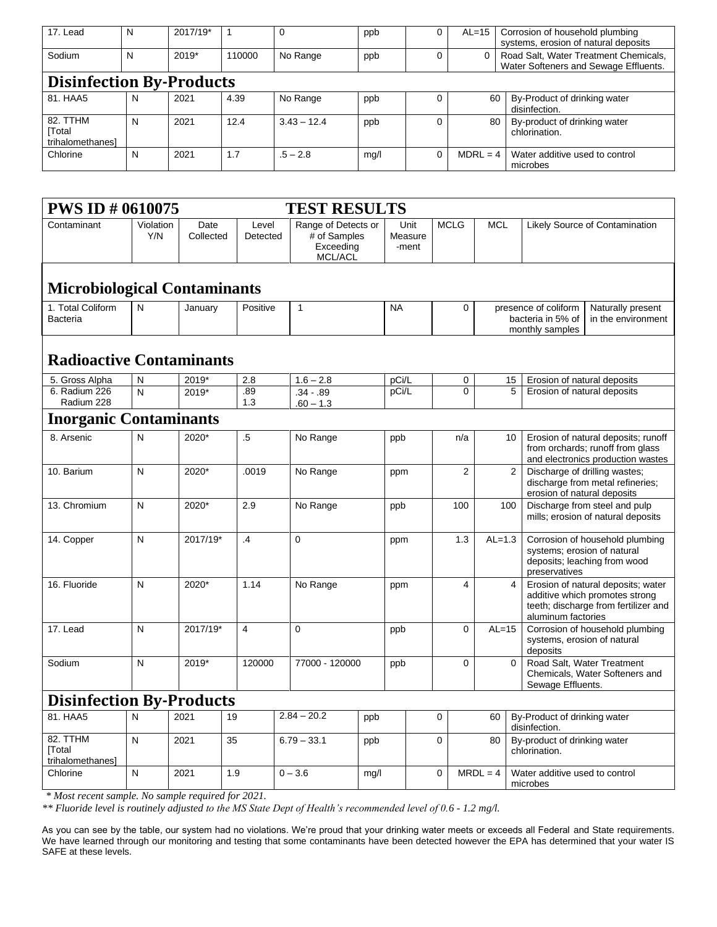| 17. Lead                                     | N | 2017/19* |        | 0             | ppb  |  | $AL=15$    | Corrosion of household plumbing<br>systems, erosion of natural deposits        |  |
|----------------------------------------------|---|----------|--------|---------------|------|--|------------|--------------------------------------------------------------------------------|--|
| Sodium                                       | N | $2019*$  | 110000 | No Range      | ppb  |  |            | Road Salt, Water Treatment Chemicals,<br>Water Softeners and Sewage Effluents. |  |
| <b>Disinfection By-Products</b>              |   |          |        |               |      |  |            |                                                                                |  |
| 81. HAA5                                     | N | 2021     | 4.39   | No Range      | ppb  |  | 60         | By-Product of drinking water<br>disinfection.                                  |  |
| 82. TTHM<br><b>Total</b><br>trihalomethanes] | N | 2021     | 12.4   | $3.43 - 12.4$ | ppb  |  | 80         | By-product of drinking water<br>chlorination.                                  |  |
| Chlorine                                     | N | 2021     | 1.7    | $.5 - 2.8$    | mg/l |  | $MDRL = 4$ | Water additive used to control<br>microbes                                     |  |

| <b>PWS ID # 0610075</b><br><b>TEST RESULTS</b> |                  |                   |                          |                                                             |                          |             |                                                          |                                                                                                                                         |                                                                                                              |  |  |
|------------------------------------------------|------------------|-------------------|--------------------------|-------------------------------------------------------------|--------------------------|-------------|----------------------------------------------------------|-----------------------------------------------------------------------------------------------------------------------------------------|--------------------------------------------------------------------------------------------------------------|--|--|
| Contaminant                                    | Violation<br>Y/N | Date<br>Collected | Level<br>Detected        | Range of Detects or<br># of Samples<br>Exceeding<br>MCL/ACL | Unit<br>Measure<br>-ment | <b>MCLG</b> |                                                          | <b>MCL</b>                                                                                                                              | Likely Source of Contamination                                                                               |  |  |
| <b>Microbiological Contaminants</b>            |                  |                   |                          |                                                             |                          |             |                                                          |                                                                                                                                         |                                                                                                              |  |  |
| 1. Total Coliform<br>Bacteria                  | N                | January           | Positive                 | $\mathbf{1}$                                                | <b>NA</b>                |             | $\Omega$                                                 | presence of coliform<br>Naturally present<br>bacteria in 5% of<br>in the environment<br>monthly samples                                 |                                                                                                              |  |  |
| <b>Radioactive Contaminants</b>                |                  |                   |                          |                                                             |                          |             |                                                          |                                                                                                                                         |                                                                                                              |  |  |
| 5. Gross Alpha                                 | N                | 2019*             | 2.8                      | $1.6 - 2.8$                                                 | pCi/L                    |             | $\mathbf 0$                                              | 15                                                                                                                                      | Erosion of natural deposits                                                                                  |  |  |
| 6. Radium 226<br>Radium 228                    | N                | 2019*             | .89<br>1.3               | $.34 - .89$<br>$.60 - 1.3$                                  | pCi/L                    |             | $\Omega$                                                 | 5                                                                                                                                       | Erosion of natural deposits                                                                                  |  |  |
| <b>Inorganic Contaminants</b>                  |                  |                   |                          |                                                             |                          |             |                                                          |                                                                                                                                         |                                                                                                              |  |  |
| 8. Arsenic                                     | N                | 2020*             | $.5\,$                   | No Range                                                    | ppb                      |             | n/a                                                      | 10                                                                                                                                      | Erosion of natural deposits; runoff<br>from orchards; runoff from glass<br>and electronics production wastes |  |  |
| 10. Barium                                     | N                | 2020*             | .0019                    | No Range                                                    | ppm                      |             | $\overline{2}$                                           | 2                                                                                                                                       | Discharge of drilling wastes;<br>discharge from metal refineries;<br>erosion of natural deposits             |  |  |
| 13. Chromium                                   | N                | 2020*             | 2.9                      | No Range                                                    | ppb                      |             | 100                                                      | 100                                                                                                                                     | Discharge from steel and pulp<br>mills; erosion of natural deposits                                          |  |  |
| 14. Copper                                     | N                | 2017/19*          | .4                       | $\mathbf 0$                                                 | ppm                      |             | 1.3                                                      | $AL=1.3$<br>Corrosion of household plumbing<br>systems; erosion of natural<br>deposits; leaching from wood<br>preservatives             |                                                                                                              |  |  |
| 16. Fluoride                                   | N                | 2020*             | 1.14                     | No Range                                                    | ppm                      |             | $\overline{\mathbf{A}}$                                  | 4<br>Erosion of natural deposits; water<br>additive which promotes strong<br>teeth; discharge from fertilizer and<br>aluminum factories |                                                                                                              |  |  |
| 17. Lead                                       | N                | 2017/19*          | $\overline{\mathbf{4}}$  | $\Omega$                                                    | ppb                      |             | $\overline{0}$                                           | $AL=15$<br>Corrosion of household plumbing<br>systems, erosion of natural<br>deposits                                                   |                                                                                                              |  |  |
| Sodium                                         | N<br>2019*       |                   | 77000 - 120000<br>120000 |                                                             | ppb                      |             | $\mathbf 0$<br>$\Omega$                                  |                                                                                                                                         | Road Salt, Water Treatment<br>Chemicals, Water Softeners and<br>Sewage Effluents.                            |  |  |
| <b>Disinfection By-Products</b>                |                  |                   |                          |                                                             |                          |             |                                                          |                                                                                                                                         |                                                                                                              |  |  |
| 81. HAA5                                       | N                | 2021              | 19                       | $2.84 - 20.2$                                               | ppb                      | 0           | By-Product of drinking water<br>60<br>disinfection.      |                                                                                                                                         |                                                                                                              |  |  |
| 82. TTHM<br>[Total<br>trihalomethanes]         | N                | 2021              | 35                       | $6.79 - 33.1$                                               | ppb                      | 0           | By-product of drinking water<br>80<br>chlorination.      |                                                                                                                                         |                                                                                                              |  |  |
| Chlorine                                       | N                | 2021              | 1.9                      | $0 - 3.6$                                                   | mg/l                     | $\Omega$    | $MRDL = 4$<br>Water additive used to control<br>microbes |                                                                                                                                         |                                                                                                              |  |  |

*\* Most recent sample. No sample required for 2021.* 

*\*\* Fluoride level is routinely adjusted to the MS State Dept of Health's recommended level of 0.6 - 1.2 mg/l.* 

As you can see by the table, our system had no violations. We're proud that your drinking water meets or exceeds all Federal and State requirements. We have learned through our monitoring and testing that some contaminants have been detected however the EPA has determined that your water IS SAFE at these levels.